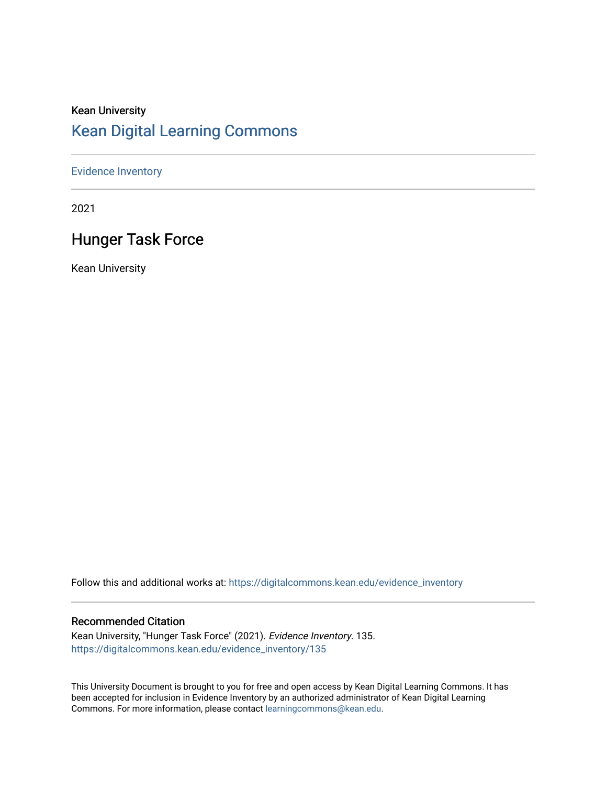### Kean University [Kean Digital Learning Commons](https://digitalcommons.kean.edu/)

#### [Evidence Inventory](https://digitalcommons.kean.edu/evidence_inventory)

2021

### Hunger Task Force

Kean University

Follow this and additional works at: [https://digitalcommons.kean.edu/evidence\\_inventory](https://digitalcommons.kean.edu/evidence_inventory?utm_source=digitalcommons.kean.edu%2Fevidence_inventory%2F135&utm_medium=PDF&utm_campaign=PDFCoverPages)

#### Recommended Citation

Kean University, "Hunger Task Force" (2021). Evidence Inventory. 135. [https://digitalcommons.kean.edu/evidence\\_inventory/135](https://digitalcommons.kean.edu/evidence_inventory/135?utm_source=digitalcommons.kean.edu%2Fevidence_inventory%2F135&utm_medium=PDF&utm_campaign=PDFCoverPages)

This University Document is brought to you for free and open access by Kean Digital Learning Commons. It has been accepted for inclusion in Evidence Inventory by an authorized administrator of Kean Digital Learning Commons. For more information, please contact [learningcommons@kean.edu.](mailto:learningcommons@kean.edu)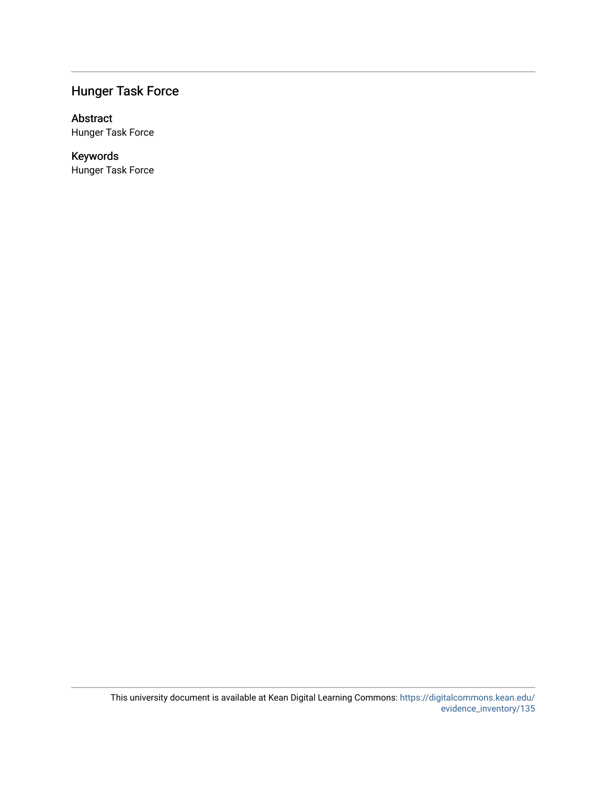#### Hunger Task Force

#### Abstract

Hunger Task Force

#### Keywords Hunger Task Force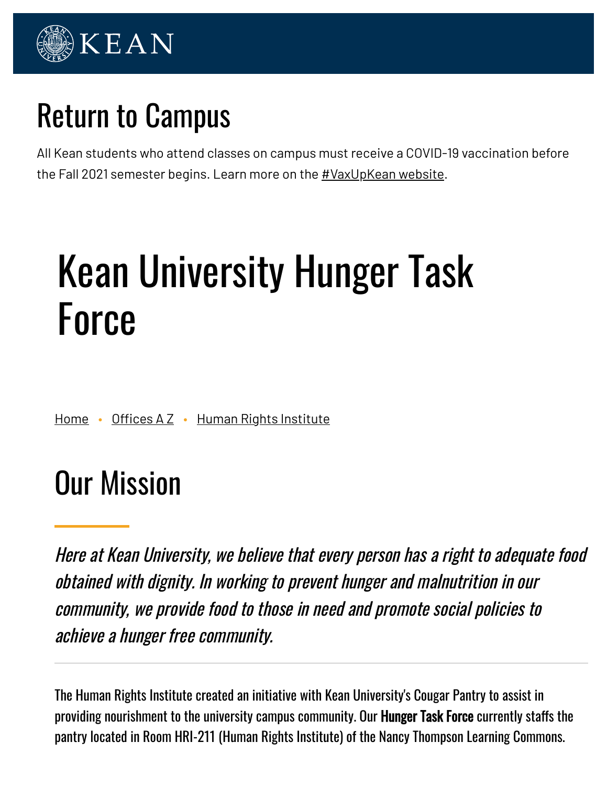

## Return to Campus

All Kean students who attend classes on campus must receive a COVID-19 vaccination before the Fall 2021 semester begins. Learn more on the [#VaxUpKean](https://www.kean.edu/vaxupkean) website.

# Kean University Hunger Task Force

[Home](https://www.kean.edu/) • Offices  $A Z \cdot H$ uman Rights [Institute](https://www.kean.edu/offices/human-rights-institute)

## Our Mission

Here at Kean University, we believe that every person has <sup>a</sup> right to adequate food obtained with dignity. In working to prevent hunger and malnutrition in our community, we provide food to those in need and promote social policies to achieve <sup>a</sup> hunger free community.

The Human Rights Institute created an initiative with Kean University's Cougar Pantry to assist in providing nourishment to the university campus community. Our **Hunger Task Force** currently staffs the pantry located in Room HRI-211 (Human Rights Institute) of the Nancy Thompson Learning Commons.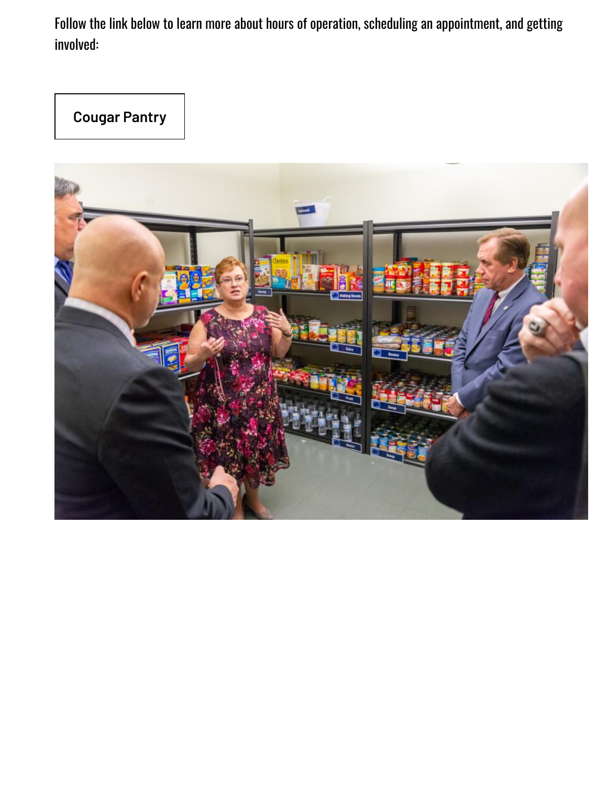Follow the link below to learn more about hours of operation, scheduling an appointment, and getting involved:

**[Cougar Pantry](https://www.kean.edu/cougar-pantry)**